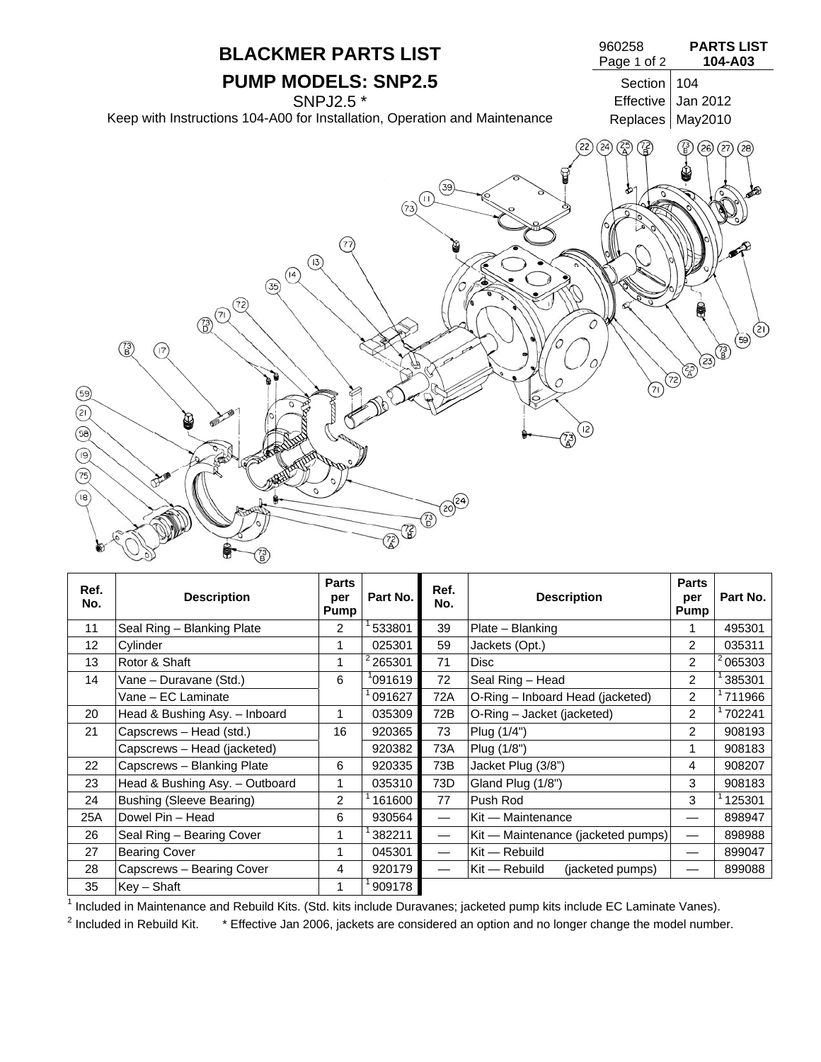

| Ref.<br>No. | <b>Description</b>              | Parts<br>per<br><b>Pump</b> | Part No.      | Ref.<br>No.                      | <b>Description</b>                  | <b>Parts</b><br>per<br>Pump | Part No. |
|-------------|---------------------------------|-----------------------------|---------------|----------------------------------|-------------------------------------|-----------------------------|----------|
| 11          | Seal Ring - Blanking Plate      | 2                           | 533801        | 39                               | Plate - Blanking                    | 1                           | 495301   |
| 12          | Cylinder                        | 1                           | 025301        | 59                               | Jackets (Opt.)                      | 2                           | 035311   |
| 13          | Rotor & Shaft                   | $\mathbf{1}$                | $^{2}$ 265301 | 71                               | <b>Disc</b>                         | $\overline{2}$              | 065303   |
| 14          | Vane - Duravane (Std.)          | 6                           | '091619       | 72                               | Seal Ring - Head                    | $\overline{2}$              | 385301   |
|             | Vane – EC Laminate              |                             | 091627        | 72A                              | O-Ring - Inboard Head (jacketed)    | $\overline{2}$              | 711966   |
| 20          | Head & Bushing Asy. - Inboard   | 1                           | 035309        | 72B                              | O-Ring – Jacket (jacketed)          | $\overline{2}$              | 702241   |
| 21          | Capscrews - Head (std.)         | 16                          | 920365        | 73                               | Plug (1/4")                         | $\overline{2}$              | 908193   |
|             | Capscrews - Head (jacketed)     |                             | 920382        | 73A                              | Plug (1/8")                         | 1                           | 908183   |
| 22          | Capscrews - Blanking Plate      | 6                           | 920335        | 73B                              | Jacket Plug (3/8")                  | 4                           | 908207   |
| 23          | Head & Bushing Asy. - Outboard  | 1                           | 035310        | 73D                              | Gland Plug (1/8")                   | 3                           | 908183   |
| 24          | <b>Bushing (Sleeve Bearing)</b> | $\overline{2}$              | 161600        | 77                               | Push Rod                            | 3                           | 125301   |
| 25A         | Dowel Pin - Head                | 6                           | 930564        | $\overline{\phantom{m}}$         | Kit - Maintenance                   |                             | 898947   |
| 26          | Seal Ring - Bearing Cover       | 1                           | 382211        | $\overbrace{\phantom{12322111}}$ | Kit — Maintenance (jacketed pumps)  |                             | 898988   |
| 27          | <b>Bearing Cover</b>            | 1                           | 045301        | $\overline{\phantom{m}}$         | Kit — Rebuild                       |                             | 899047   |
| 28          | Capscrews - Bearing Cover       | 4                           | 920179        | $\overline{\phantom{m}}$         | $Kit - Rebuild$<br>(jacketed pumps) |                             | 899088   |
| 35          | $Key - Shaft$                   | 1                           | 909178        |                                  |                                     |                             |          |

<sup>1</sup> Included in Maintenance and Rebuild Kits. (Std. kits include Duravanes; jacketed pump kits include EC Laminate Vanes).<br><sup>2</sup> Included in Rebuild Kits and Tffective Jan 2006, jackete are considered an entire and no langer

 $2$  Included in Rebuild Kit.  $*$  Effective Jan 2006, jackets are considered an option and no longer change the model number.